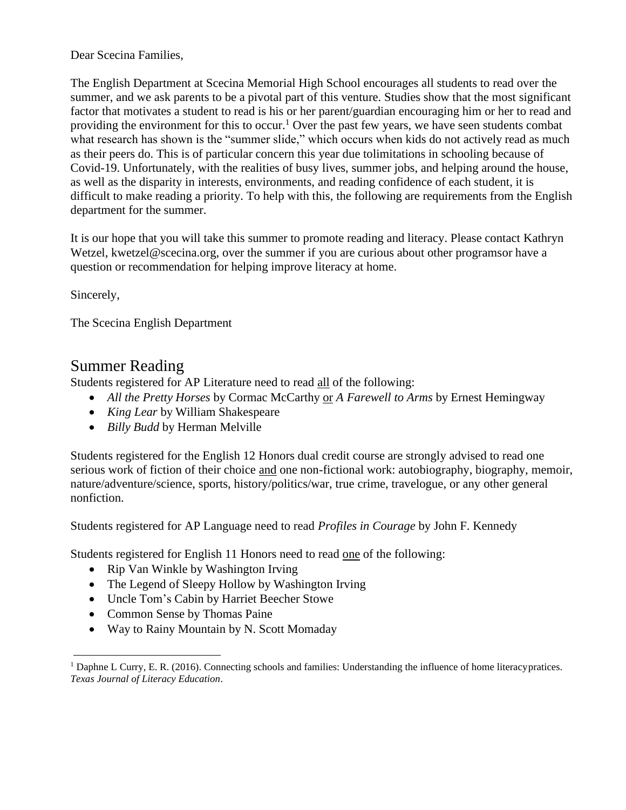Dear Scecina Families,

The English Department at Scecina Memorial High School encourages all students to read over the summer, and we ask parents to be a pivotal part of this venture. Studies show that the most significant factor that motivates a student to read is his or her parent/guardian encouraging him or her to read and providing the environment for this to occur.<sup>[1](#page-0-0)</sup> Over the past few years, we have seen students combat what research has shown is the "summer slide," which occurs when kids do not actively read as much as their peers do. This is of particular concern this year due tolimitations in schooling because of Covid-19. Unfortunately, with the realities of busy lives, summer jobs, and helping around the house, as well as the disparity in interests, environments, and reading confidence of each student, it is difficult to make reading a priority. To help with this, the following are requirements from the English department for the summer.

It is our hope that you will take this summer to promote reading and literacy. Please contact Kathryn Wetzel, [kwetzel@scecina.org,](mailto:kwetzel@scecina.org) over the summer if you are curious about other programsor have a question or recommendation for helping improve literacy at home.

Sincerely,

The Scecina English Department

## Summer Reading

Students registered for AP Literature need to read all of the following:

- *All the Pretty Horses* by Cormac McCarthy or *A Farewell to Arms* by Ernest Hemingway
- *King Lear* by William Shakespeare
- *Billy Budd* by Herman Melville

Students registered for the English 12 Honors dual credit course are strongly advised to read one serious work of fiction of their choice and one non-fictional work: autobiography, biography, memoir, nature/adventure/science, sports, history/politics/war, true crime, travelogue, or any other general nonfiction.

Students registered for AP Language need to read *Profiles in Courage* by John F. Kennedy

Students registered for English 11 Honors need to read one of the following:

- Rip Van Winkle by Washington Irving
- The Legend of Sleepy Hollow by Washington Irving
- Uncle Tom's Cabin by Harriet Beecher Stowe
- Common Sense by Thomas Paine
- Way to Rainy Mountain by N. Scott Momaday

<span id="page-0-0"></span><sup>&</sup>lt;sup>1</sup> Daphne L Curry, E. R. (2016). Connecting schools and families: Understanding the influence of home literacypratices. *Texas Journal of Literacy Education*.